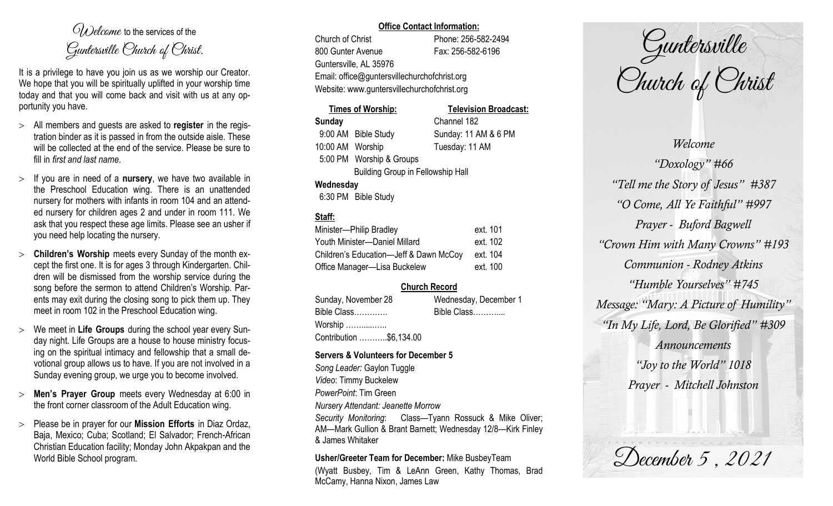$O(\lambda)$  elcame to the services of the Guntersville Church of Christ.

It is a privilege to have you join us as we worship our Creator. We hope that you will be spiritually uplifted in your worship time today and that you will come back and visit with us at any opportunity you have.

- All members and guests are asked to **register** in the registration binder as it is passed in from the outside aisle. These will be collected at the end of the service. Please be sure to fill in *first and last name*.
- $>$  If you are in need of a **nursery**, we have two available in the Preschool Education wing. There is an unattended nursery for mothers with infants in room 104 and an attended nursery for children ages 2 and under in room 111. We ask that you respect these age limits. Please see an usher if you need help locating the nursery.
- **Children's Worship** meets every Sunday of the month except the first one. It is for ages 3 through Kindergarten. Children will be dismissed from the worship service during the song before the sermon to attend Children's Worship. Parents may exit during the closing song to pick them up. They meet in room 102 in the Preschool Education wing.
- We meet in **Life Groups** during the school year every Sunday night. Life Groups are a house to house ministry focusing on the spiritual intimacy and fellowship that a small devotional group allows us to have. If you are not involved in a Sunday evening group, we urge you to become involved.
- **Men's Prayer Group** meets every Wednesday at 6:00 in the front corner classroom of the Adult Education wing.
- Please be in prayer for our **Mission Efforts** in Diaz Ordaz, Baja, Mexico; Cuba; Scotland; El Salvador; French-African Christian Education facility; Monday John Akpakpan and the World Bible School program.

### **Office Contact Information:**

Church of Christ Phone: 256-582-2494 800 Gunter Avenue Fax: 256-582-6196 Guntersville, AL 35976 Email: office@guntersvillechurchofchrist.org Website: www.guntersvillechurchofchrist.org

# **Times of Worship: Television Broadcast: Sunday** Channel 182 9:00 AM Bible Study Sunday: 11 AM & 6 PM 10:00 AM Worship Tuesday: 11 AM 5:00 PM Worship & Groups Building Group in Fellowship Hall **Wednesday**

6:30 PM Bible Study

# **Staff:**

| Minister-Philip Bradley                | ext. 101 |
|----------------------------------------|----------|
| Youth Minister-Daniel Millard          | ext. 102 |
| Children's Education-Jeff & Dawn McCoy | ext. 104 |
| Office Manager-Lisa Buckelew           | ext. 100 |

# **Church Record**

| Sunday, November 28                 | Wednesday, December 1 |
|-------------------------------------|-----------------------|
| Bible Class                         | Bible Class           |
| Worship $\dots\dots\dots\dots\dots$ |                       |
| Contribution \$6,134.00             |                       |

#### **Servers & Volunteers for December 5**

*Song Leader:* Gaylon Tuggle *Video*: Timmy Buckelew *PowerPoint*: Tim Green *Nursery Attendant: Jeanette Morrow Security Monitoring*: Class—Tyann Rossuck & Mike Oliver; AM—Mark Gullion & Brant Barnett; Wednesday 12/8—Kirk Finley & James Whitaker

**Usher/Greeter Team for December:** Mike BusbeyTeam

(Wyatt Busbey, Tim & LeAnn Green, Kathy Thomas, Brad McCamy, Hanna Nixon, James Law

Guntersville Church of Christ

*Welcome "Doxology" #66 "Tell me the Story of Jesus" #387 "O Come, All Ye Faithful" #997 Prayer - Buford Bagwell "Crown Him with Many Crowns" #193 Communion - Rodney Atkins "Humble Yourselves" #745 Message: "Mary: A Picture of Humility" "In My Life, Lord, Be Glorified" #309 Announcements "Joy to the World" 1018 Prayer - Mitchell Johnston*

December 5, 2021